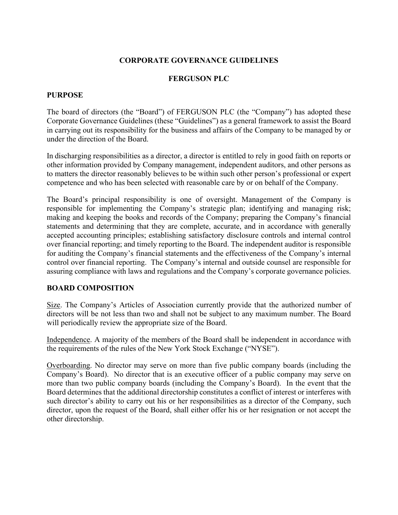## **CORPORATE GOVERNANCE GUIDELINES**

## **FERGUSON PLC**

#### **PURPOSE**

The board of directors (the "Board") of FERGUSON PLC (the "Company") has adopted these Corporate Governance Guidelines (these "Guidelines") as a general framework to assist the Board in carrying out its responsibility for the business and affairs of the Company to be managed by or under the direction of the Board.

In discharging responsibilities as a director, a director is entitled to rely in good faith on reports or other information provided by Company management, independent auditors, and other persons as to matters the director reasonably believes to be within such other person's professional or expert competence and who has been selected with reasonable care by or on behalf of the Company.

The Board's principal responsibility is one of oversight. Management of the Company is responsible for implementing the Company's strategic plan; identifying and managing risk; making and keeping the books and records of the Company; preparing the Company's financial statements and determining that they are complete, accurate, and in accordance with generally accepted accounting principles; establishing satisfactory disclosure controls and internal control over financial reporting; and timely reporting to the Board. The independent auditor is responsible for auditing the Company's financial statements and the effectiveness of the Company's internal control over financial reporting. The Company's internal and outside counsel are responsible for assuring compliance with laws and regulations and the Company's corporate governance policies.

### **BOARD COMPOSITION**

Size. The Company's Articles of Association currently provide that the authorized number of directors will be not less than two and shall not be subject to any maximum number. The Board will periodically review the appropriate size of the Board.

Independence. A majority of the members of the Board shall be independent in accordance with the requirements of the rules of the New York Stock Exchange ("NYSE").

Overboarding. No director may serve on more than five public company boards (including the Company's Board). No director that is an executive officer of a public company may serve on more than two public company boards (including the Company's Board). In the event that the Board determines that the additional directorship constitutes a conflict of interest or interferes with such director's ability to carry out his or her responsibilities as a director of the Company, such director, upon the request of the Board, shall either offer his or her resignation or not accept the other directorship.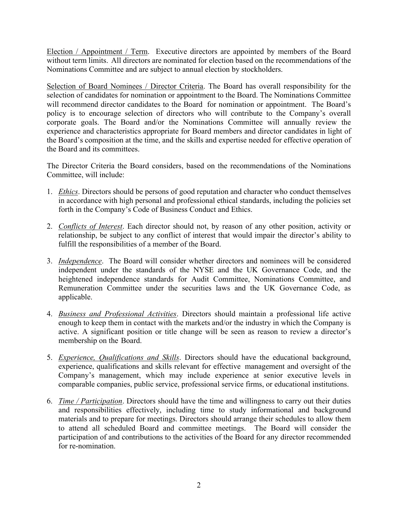Election / Appointment / Term. Executive directors are appointed by members of the Board without term limits. All directors are nominated for election based on the recommendations of the Nominations Committee and are subject to annual election by stockholders.

Selection of Board Nominees / Director Criteria. The Board has overall responsibility for the selection of candidates for nomination or appointment to the Board. The Nominations Committee will recommend director candidates to the Board for nomination or appointment. The Board's policy is to encourage selection of directors who will contribute to the Company's overall corporate goals. The Board and/or the Nominations Committee will annually review the experience and characteristics appropriate for Board members and director candidates in light of the Board's composition at the time, and the skills and expertise needed for effective operation of the Board and its committees.

The Director Criteria the Board considers, based on the recommendations of the Nominations Committee, will include:

- 1. *Ethics*. Directors should be persons of good reputation and character who conduct themselves in accordance with high personal and professional ethical standards, including the policies set forth in the Company's Code of Business Conduct and Ethics.
- 2. *Conflicts of Interest*. Each director should not, by reason of any other position, activity or relationship, be subject to any conflict of interest that would impair the director's ability to fulfill the responsibilities of a member of the Board.
- 3. *Independence*. The Board will consider whether directors and nominees will be considered independent under the standards of the NYSE and the UK Governance Code, and the heightened independence standards for Audit Committee, Nominations Committee, and Remuneration Committee under the securities laws and the UK Governance Code, as applicable.
- 4. *Business and Professional Activities*. Directors should maintain a professional life active enough to keep them in contact with the markets and/or the industry in which the Company is active. A significant position or title change will be seen as reason to review a director's membership on the Board.
- 5. *Experience, Qualifications and Skills*. Directors should have the educational background, experience, qualifications and skills relevant for effective management and oversight of the Company's management, which may include experience at senior executive levels in comparable companies, public service, professional service firms, or educational institutions.
- 6. *Time / Participation*. Directors should have the time and willingness to carry out their duties and responsibilities effectively, including time to study informational and background materials and to prepare for meetings. Directors should arrange their schedules to allow them to attend all scheduled Board and committee meetings. The Board will consider the participation of and contributions to the activities of the Board for any director recommended for re-nomination.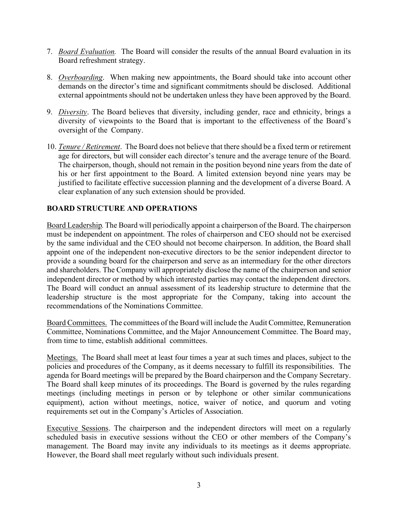- 7. *Board Evaluation.* The Board will consider the results of the annual Board evaluation in its Board refreshment strategy.
- 8. *Overboarding*. When making new appointments, the Board should take into account other demands on the director's time and significant commitments should be disclosed. Additional external appointments should not be undertaken unless they have been approved by the Board.
- 9. *Diversity*. The Board believes that diversity, including gender, race and ethnicity, brings a diversity of viewpoints to the Board that is important to the effectiveness of the Board's oversight of the Company.
- 10. *Tenure / Retirement*. The Board does not believe that there should be a fixed term or retirement age for directors, but will consider each director's tenure and the average tenure of the Board. The chairperson, though, should not remain in the position beyond nine years from the date of his or her first appointment to the Board. A limited extension beyond nine years may be justified to facilitate effective succession planning and the development of a diverse Board. A clear explanation of any such extension should be provided.

## **BOARD STRUCTURE AND OPERATIONS**

Board Leadership*.*The Board will periodically appoint a chairperson of the Board. The chairperson must be independent on appointment. The roles of chairperson and CEO should not be exercised by the same individual and the CEO should not become chairperson. In addition, the Board shall appoint one of the independent non-executive directors to be the senior independent director to provide a sounding board for the chairperson and serve as an intermediary for the other directors and shareholders. The Company will appropriately disclose the name of the chairperson and senior independent director or method by which interested parties may contact the independent directors. The Board will conduct an annual assessment of its leadership structure to determine that the leadership structure is the most appropriate for the Company, taking into account the recommendations of the Nominations Committee.

Board Committees. The committees of the Board will include the Audit Committee, Remuneration Committee, Nominations Committee, and the Major Announcement Committee. The Board may, from time to time, establish additional committees.

Meetings. The Board shall meet at least four times a year at such times and places, subject to the policies and procedures of the Company, as it deems necessary to fulfill its responsibilities. The agenda for Board meetings will be prepared by the Board chairperson and the Company Secretary. The Board shall keep minutes of its proceedings. The Board is governed by the rules regarding meetings (including meetings in person or by telephone or other similar communications equipment), action without meetings, notice, waiver of notice, and quorum and voting requirements set out in the Company's Articles of Association.

Executive Sessions. The chairperson and the independent directors will meet on a regularly scheduled basis in executive sessions without the CEO or other members of the Company's management. The Board may invite any individuals to its meetings as it deems appropriate. However, the Board shall meet regularly without such individuals present.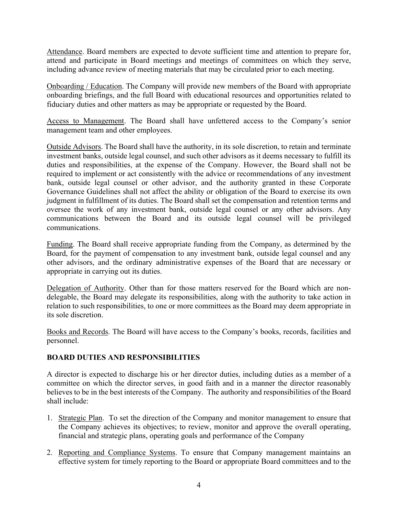Attendance. Board members are expected to devote sufficient time and attention to prepare for, attend and participate in Board meetings and meetings of committees on which they serve, including advance review of meeting materials that may be circulated prior to each meeting.

Onboarding / Education. The Company will provide new members of the Board with appropriate onboarding briefings, and the full Board with educational resources and opportunities related to fiduciary duties and other matters as may be appropriate or requested by the Board.

Access to Management. The Board shall have unfettered access to the Company's senior management team and other employees.

Outside Advisors. The Board shall have the authority, in its sole discretion, to retain and terminate investment banks, outside legal counsel, and such other advisors as it deems necessary to fulfill its duties and responsibilities, at the expense of the Company. However, the Board shall not be required to implement or act consistently with the advice or recommendations of any investment bank, outside legal counsel or other advisor, and the authority granted in these Corporate Governance Guidelines shall not affect the ability or obligation of the Board to exercise its own judgment in fulfillment of its duties. The Board shall set the compensation and retention terms and oversee the work of any investment bank, outside legal counsel or any other advisors. Any communications between the Board and its outside legal counsel will be privileged communications.

Funding. The Board shall receive appropriate funding from the Company, as determined by the Board, for the payment of compensation to any investment bank, outside legal counsel and any other advisors, and the ordinary administrative expenses of the Board that are necessary or appropriate in carrying out its duties.

Delegation of Authority. Other than for those matters reserved for the Board which are nondelegable, the Board may delegate its responsibilities, along with the authority to take action in relation to such responsibilities, to one or more committees as the Board may deem appropriate in its sole discretion.

Books and Records. The Board will have access to the Company's books, records, facilities and personnel.

# **BOARD DUTIES AND RESPONSIBILITIES**

A director is expected to discharge his or her director duties, including duties as a member of a committee on which the director serves, in good faith and in a manner the director reasonably believes to be in the best interests of the Company. The authority and responsibilities of the Board shall include:

- 1. Strategic Plan. To set the direction of the Company and monitor management to ensure that the Company achieves its objectives; to review, monitor and approve the overall operating, financial and strategic plans, operating goals and performance of the Company
- 2. Reporting and Compliance Systems. To ensure that Company management maintains an effective system for timely reporting to the Board or appropriate Board committees and to the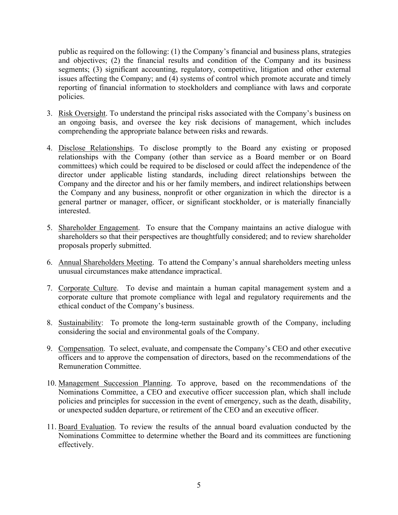public as required on the following: (1) the Company's financial and business plans, strategies and objectives; (2) the financial results and condition of the Company and its business segments; (3) significant accounting, regulatory, competitive, litigation and other external issues affecting the Company; and (4) systems of control which promote accurate and timely reporting of financial information to stockholders and compliance with laws and corporate policies.

- 3. Risk Oversight. To understand the principal risks associated with the Company's business on an ongoing basis, and oversee the key risk decisions of management, which includes comprehending the appropriate balance between risks and rewards.
- 4. Disclose Relationships. To disclose promptly to the Board any existing or proposed relationships with the Company (other than service as a Board member or on Board committees) which could be required to be disclosed or could affect the independence of the director under applicable listing standards, including direct relationships between the Company and the director and his or her family members, and indirect relationships between the Company and any business, nonprofit or other organization in which the director is a general partner or manager, officer, or significant stockholder, or is materially financially interested.
- 5. Shareholder Engagement. To ensure that the Company maintains an active dialogue with shareholders so that their perspectives are thoughtfully considered; and to review shareholder proposals properly submitted.
- 6. Annual Shareholders Meeting. To attend the Company's annual shareholders meeting unless unusual circumstances make attendance impractical.
- 7. Corporate Culture. To devise and maintain a human capital management system and a corporate culture that promote compliance with legal and regulatory requirements and the ethical conduct of the Company's business.
- 8. Sustainability: To promote the long-term sustainable growth of the Company, including considering the social and environmental goals of the Company.
- 9. Compensation. To select, evaluate, and compensate the Company's CEO and other executive officers and to approve the compensation of directors, based on the recommendations of the Remuneration Committee.
- 10. Management Succession Planning. To approve, based on the recommendations of the Nominations Committee, a CEO and executive officer succession plan, which shall include policies and principles for succession in the event of emergency, such as the death, disability, or unexpected sudden departure, or retirement of the CEO and an executive officer.
- 11. Board Evaluation. To review the results of the annual board evaluation conducted by the Nominations Committee to determine whether the Board and its committees are functioning effectively.